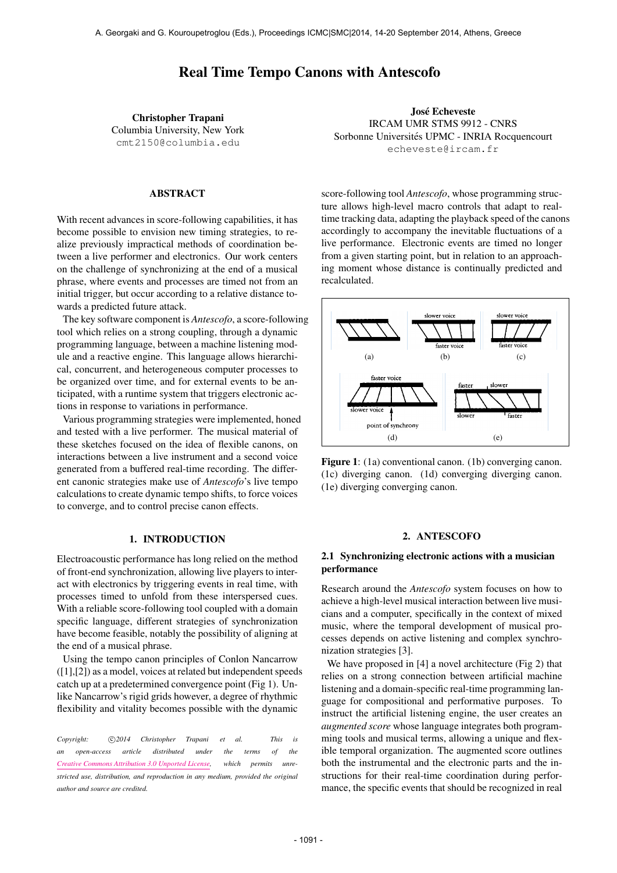# Real Time Tempo Canons with Antescofo

Christopher Trapani Columbia University, New York [cmt2150@columbia.edu](mailto:cmt2150@columbia.edu)

## ABSTRACT

With recent advances in score-following capabilities, it has become possible to envision new timing strategies, to realize previously impractical methods of coordination between a live performer and electronics. Our work centers on the challenge of synchronizing at the end of a musical phrase, where events and processes are timed not from an  $\frac{1}{2}$  relationships of  $\frac{1}{2}$  relationships  $\frac{1}{2}$  relationships  $\frac{1}{2}$  relationships  $\frac{1}{2}$  relationships  $\frac{1}{2}$  relationships  $\frac{1}{2}$  relatio initial trigger, but occur according to a relative distance towards a predicted future attack.

The key software component is *Antescofo*, a score-following tool which relies on a strong coupling, through a dynamic programming language, between a machine listening module and a reactive engine. This language allows hierarchical, concurrent, and heterogeneous computer processes to be organized over time, and for external events to be anticipated, with a runtime system that triggers electronic actions in response to variations in performance.

Various programming strategies were implemented, honed and tested with a live performer. The musical material of these sketches focused on the idea of flexible canons, on interactions between a live instrument and a second voice generated from a buffered real-time recording. The different canonic strategies make use of *Antescofo*'s live tempo calculations to create dynamic tempo shifts, to force voices to converge, and to control precise canon effects.

# 1. INTRODUCTION

Electroacoustic performance has long relied on the method of front-end synchronization, allowing live players to interact with electronics by triggering events in real time, with processes timed to unfold from these interspersed cues. With a reliable score-following tool coupled with a domain specific language, different strategies of synchronization have become feasible, notably the possibility of aligning at the end of a musical phrase.

Using the tempo canon principles of Conlon Nancarrow ([1],[2]) as a model, voices at related but independent speeds catch up at a predetermined convergence point (Fig 1). Unlike Nancarrow's rigid grids however, a degree of rhythmic flexibility and vitality becomes possible with the dynamic

Copyright:  $\bigcirc$  2014 Christopher Trapani et al. This is *an open-access article distributed under the terms of the [Creative Commons Attribution 3.0 Unported License,](http://creativecommons.org/licenses/by/3.0/) which permits unrestricted use, distribution, and reproduction in any medium, provided the original author and source are credited.*

José Echeveste **IOSÉ Echeveste**<br>
IRCAM UMR STMS 9912 - CNRS<br> **INCAM UMR STMS 9912 - CNRS** Sorbonne Universités UPMC - INRIA Rocquencourt Solbonne Universites UPMU - INNIA Nocquencourt<br>
echeveste@ircam.fr

> score-following tool *Antescofo*, whose programming structure allows high-level macro controls that adapt to realtime tracking data, adapting the playback speed of the canons<br>apabilities, it has time tracking data, adapting the playback speed of the canons accordingly to accompany the inevitable fluctuations of a live performance. Electronic events are timed no longer from a given starting point, but in relation to an approaching moment whose distance is continually predicted and recalculated. recalculated.



(1c) diverging canon. (1d) converging diverging canon. **Figure 1**: (1a) conventional canon. (1b) converging canon. **slower voice t**  (1e) diverging converging canon.

# **e. diverging-converging canon**  2. ANTESCOFO

# 2.1 Synchronizing electronic actions with a musician performance

Research around the *Antescofo* system focuses on how to cians and a computer, specifically in the context of mixed cesses depends on active listening and complex synchroachieve a high-level musical interaction between live musimusic, where the temporal development of musical pronization strategies [3].

We have proposed in [4] a novel architecture (Fig 2) that relies on a strong connection between artificial machine listening and a domain-specific real-time programming language for compositional and performative purposes. To instruct the artificial listening engine, the user creates an *augmented score* whose language integrates both programming tools and musical terms, allowing a unique and flexible temporal organization. The augmented score outlines both the instrumental and the electronic parts and the instructions for their real-time coordination during performance, the specific events that should be recognized in real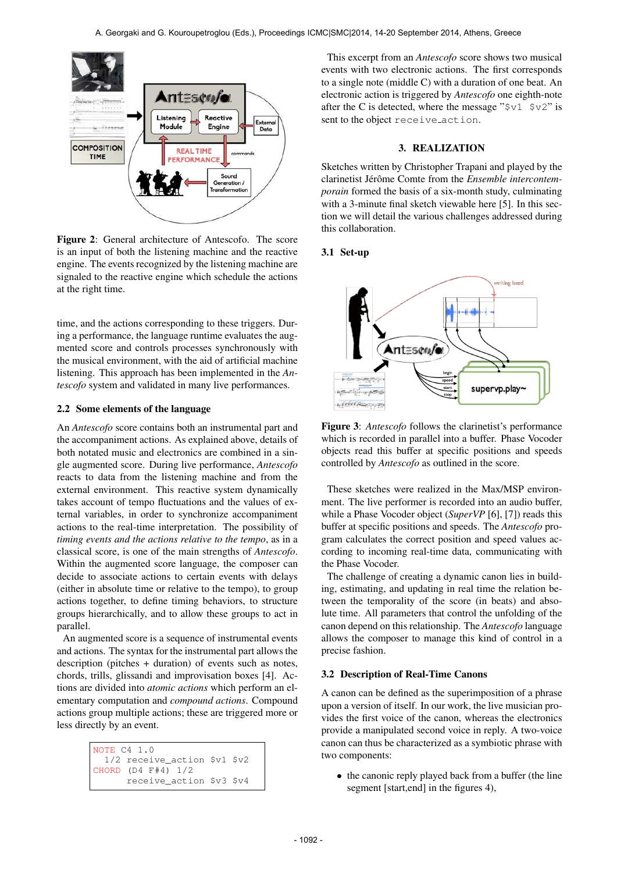

Figure 2: General architecture of Antescofo. The score is an input of both the listening machine and the reactive engine. The events recognized by the listening machine are signaled to the reactive engine which schedule the actions at the right time.

time, and the actions corresponding to these triggers. During a performance, the language runtime evaluates the augmented score and controls processes synchronously with the musical environment, with the aid of artificial machine listening. This approach has been implemented in the *Antescofo* system and validated in many live performances.

#### 2.2 Some elements of the language

An *Antescofo* score contains both an instrumental part and the accompaniment actions. As explained above, details of both notated music and electronics are combined in a single augmented score. During live performance, *Antescofo* reacts to data from the listening machine and from the external environment. This reactive system dynamically takes account of tempo fluctuations and the values of external variables, in order to synchronize accompaniment actions to the real-time interpretation. The possibility of *timing events and the actions relative to the tempo*, as in a classical score, is one of the main strengths of *Antescofo*. Within the augmented score language, the composer can decide to associate actions to certain events with delays (either in absolute time or relative to the tempo), to group actions together, to define timing behaviors, to structure groups hierarchically, and to allow these groups to act in parallel.

An augmented score is a sequence of instrumental events and actions. The syntax for the instrumental part allows the description (pitches + duration) of events such as notes, chords, trills, glissandi and improvisation boxes [4]. Actions are divided into *atomic actions* which perform an elementary computation and *compound actions*. Compound actions group multiple actions; these are triggered more or less directly by an event.

| NOTE C4 1.0 |                                |  |
|-------------|--------------------------------|--|
|             | $1/2$ receive action \$v1 \$v2 |  |
|             | CHORD $(D4$ $F#4)$ $1/2$       |  |
|             | receive action \$v3 \$v4       |  |

This excerpt from an *Antescofo* score shows two musical events with two electronic actions. The first corresponds to a single note (middle C) with a duration of one beat. An electronic action is triggered by *Antescofo* one eighth-note after the C is detected, where the message " $\zeta v1 \zeta v2$ " is sent to the object receive action.

## 3. REALIZATION

Sketches written by Christopher Trapani and played by the clarinetist Jérôme Comte from the *Ensemble intercontemporain* formed the basis of a six-month study, culminating with a 3-minute final sketch viewable here [5]. In this section we will detail the various challenges addressed during this collaboration.

#### 3.1 Set-up



Figure 3: *Antescofo* follows the clarinetist's performance which is recorded in parallel into a buffer. Phase Vocoder objects read this buffer at specific positions and speeds controlled by *Antescofo* as outlined in the score.

These sketches were realized in the Max/MSP environment. The live performer is recorded into an audio buffer, while a Phase Vocoder object (*SuperVP* [6], [7]) reads this buffer at specific positions and speeds. The *Antescofo* program calculates the correct position and speed values according to incoming real-time data, communicating with the Phase Vocoder.

The challenge of creating a dynamic canon lies in building, estimating, and updating in real time the relation between the temporality of the score (in beats) and absolute time. All parameters that control the unfolding of the canon depend on this relationship. The *Antescofo* language allows the composer to manage this kind of control in a precise fashion.

#### 3.2 Description of Real-Time Canons

A canon can be defined as the superimposition of a phrase upon a version of itself. In our work, the live musician provides the first voice of the canon, whereas the electronics provide a manipulated second voice in reply. A two-voice canon can thus be characterized as a symbiotic phrase with two components:

• the canonic reply played back from a buffer (the line segment [start,end] in the figures 4),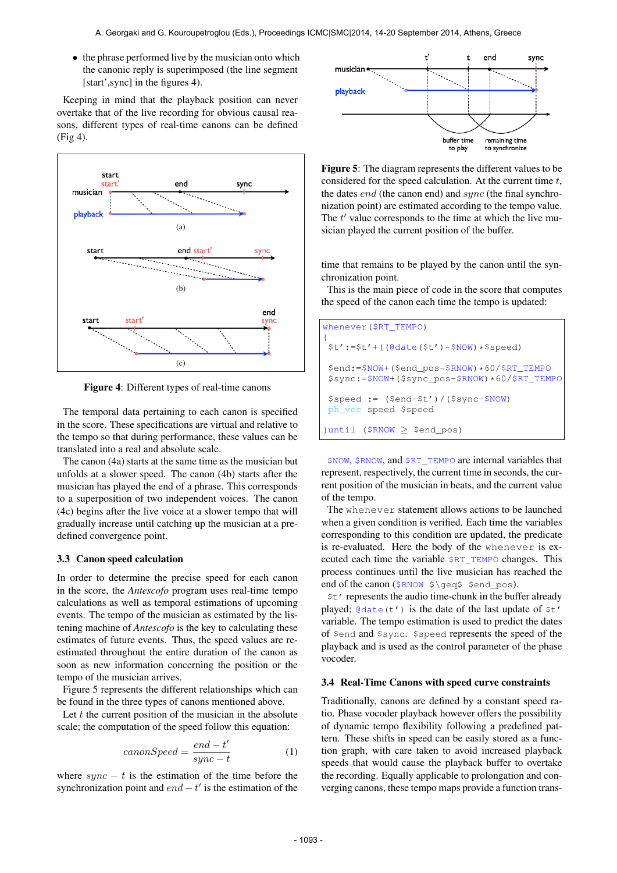• the phrase performed live by the musician onto which the canonic reply is superimposed (the line segment [start',sync] in the figures 4).

Keeping in mind that the playback position can never overtake that of the live recording for obvious causal reasons, different types of real-time canons can be defined (Fig 4).



Figure 4: Different types of real-time canons

The temporal data pertaining to each canon is specified in the score. These specifications are virtual and relative to the tempo so that during performance, these values can be translated into a real and absolute scale.

The canon (4a) starts at the same time as the musician but unfolds at a slower speed. The canon (4b) starts after the musician has played the end of a phrase. This corresponds to a superposition of two independent voices. The canon (4c) begins after the live voice at a slower tempo that will gradually increase until catching up the musician at a predefined convergence point.

#### 3.3 Canon speed calculation

In order to determine the precise speed for each canon in the score, the *Antescofo* program uses real-time tempo calculations as well as temporal estimations of upcoming events. The tempo of the musician as estimated by the listening machine of *Antescofo* is the key to calculating these estimates of future events. Thus, the speed values are reestimated throughout the entire duration of the canon as soon as new information concerning the position or the tempo of the musician arrives.

Figure 5 represents the different relationships which can be found in the three types of canons mentioned above.

Let  $t$  the current position of the musician in the absolute scale; the computation of the speed follow this equation:

$$
can on Speed = \frac{end - t'}{sync - t}
$$
 (1)

where  $sync - t$  is the estimation of the time before the synchronization point and  $end - t'$  is the estimation of the



Figure 5: The diagram represents the different values to be considered for the speed calculation. At the current time t, the dates *end* (the canon end) and *sync* (the final synchronization point) are estimated according to the tempo value. The  $t'$  value corresponds to the time at which the live musician played the current position of the buffer.

time that remains to be played by the canon until the synchronization point.

This is the main piece of code in the score that computes the speed of the canon each time the tempo is updated:

| whenever $(SRT$ TEMPO)                                                                             |
|----------------------------------------------------------------------------------------------------|
| $$t':= $t' + ( (@date(St') - $NOW) * $speed)$                                                      |
| $$end:=$NOW+ ($end_pos-$RNOW)*60$ / $$RT_TEMP$<br>$$sync:=$NOW+ ($sync_pos-$RNOW)*60$ / $$RT_TEMP$ |
| $$speed := ($end-$t') / ($symc-$NOW)$<br>ph voc speed \$speed                                      |
| $\{uniti[$ (\$RNOW $>$ \$end pos)                                                                  |

\$NOW, \$RNOW, and \$RT\_TEMPO are internal variables that represent, respectively, the current time in seconds, the current position of the musician in beats, and the current value of the tempo.

The whenever statement allows actions to be launched when a given condition is verified. Each time the variables corresponding to this condition are updated, the predicate is re-evaluated. Here the body of the whenever is executed each time the variable \$RT\_TEMPO changes. This process continues until the live musician has reached the end of the canon (\$RNOW \$\geq\$ \$end\_pos).

\$t' represents the audio time-chunk in the buffer already played;  $\theta$  date(t') is the date of the last update of  $\zeta$ t' variable. The tempo estimation is used to predict the dates of \$end and \$sync. \$speed represents the speed of the playback and is used as the control parameter of the phase vocoder.

#### 3.4 Real-Time Canons with speed curve constraints

Traditionally, canons are defined by a constant speed ratio. Phase vocoder playback however offers the possibility of dynamic tempo flexibility following a predefined pattern. These shifts in speed can be easily stored as a function graph, with care taken to avoid increased playback speeds that would cause the playback buffer to overtake the recording. Equally applicable to prolongation and converging canons, these tempo maps provide a function trans-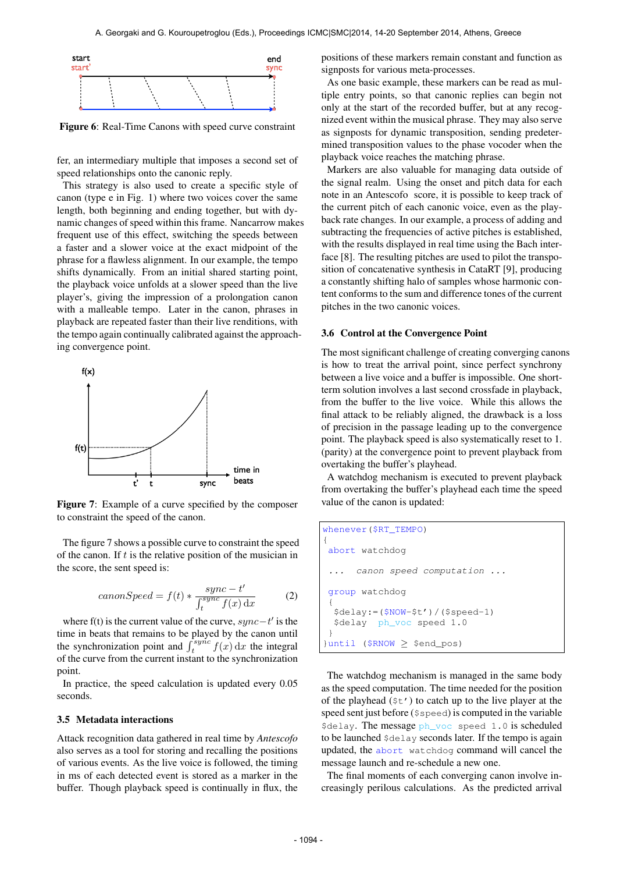

Figure 6: Real-Time Canons with speed curve constraint

fer, an intermediary multiple that imposes a second set of speed relationships onto the canonic reply.

This strategy is also used to create a specific style of canon (type e in Fig. 1) where two voices cover the same length, both beginning and ending together, but with dynamic changes of speed within this frame. Nancarrow makes frequent use of this effect, switching the speeds between a faster and a slower voice at the exact midpoint of the phrase for a flawless alignment. In our example, the tempo shifts dynamically. From an initial shared starting point, the playback voice unfolds at a slower speed than the live player's, giving the impression of a prolongation canon with a malleable tempo. Later in the canon, phrases in playback are repeated faster than their live renditions, with the tempo again continually calibrated against the approaching convergence point.



Figure 7: Example of a curve specified by the composer to constraint the speed of the canon.

The figure 7 shows a possible curve to constraint the speed of the canon. If  $t$  is the relative position of the musician in the score, the sent speed is:

$$
can on Speed = f(t) * \frac{sync - t'}{\int_{t}^{sync} f(x) dx}
$$
 (2)

where f(t) is the current value of the curve,  $sync-t'$  is the time in beats that remains to be played by the canon until the synchronization point and  $\int_t^{sy\hat{n}c} f(x) dx$  the integral of the curve from the current instant to the synchronization point.

In practice, the speed calculation is updated every 0.05 seconds.

## 3.5 Metadata interactions

Attack recognition data gathered in real time by *Antescofo* also serves as a tool for storing and recalling the positions of various events. As the live voice is followed, the timing in ms of each detected event is stored as a marker in the buffer. Though playback speed is continually in flux, the positions of these markers remain constant and function as signposts for various meta-processes.

As one basic example, these markers can be read as multiple entry points, so that canonic replies can begin not only at the start of the recorded buffer, but at any recognized event within the musical phrase. They may also serve as signposts for dynamic transposition, sending predetermined transposition values to the phase vocoder when the playback voice reaches the matching phrase.

Markers are also valuable for managing data outside of the signal realm. Using the onset and pitch data for each note in an Antescofo score, it is possible to keep track of the current pitch of each canonic voice, even as the playback rate changes. In our example, a process of adding and subtracting the frequencies of active pitches is established, with the results displayed in real time using the Bach interface [8]. The resulting pitches are used to pilot the transposition of concatenative synthesis in CataRT [9], producing a constantly shifting halo of samples whose harmonic content conforms to the sum and difference tones of the current pitches in the two canonic voices.

## 3.6 Control at the Convergence Point

The most significant challenge of creating converging canons is how to treat the arrival point, since perfect synchrony between a live voice and a buffer is impossible. One shortterm solution involves a last second crossfade in playback, from the buffer to the live voice. While this allows the final attack to be reliably aligned, the drawback is a loss of precision in the passage leading up to the convergence point. The playback speed is also systematically reset to 1. (parity) at the convergence point to prevent playback from overtaking the buffer's playhead.

A watchdog mechanism is executed to prevent playback from overtaking the buffer's playhead each time the speed value of the canon is updated:

```
whenever($RT_TEMPO)
{
 abort watchdog
      ... canon speed computation ...
 group watchdog
 {
  $delay:=($NOW-$t')/($speed-1)
  $delay ph_voc speed 1.0
 }
}until ($RNOW ≥ $end_pos)
```
The watchdog mechanism is managed in the same body as the speed computation. The time needed for the position of the playhead  $(\xi t')$  to catch up to the live player at the speed sent just before (\$speed) is computed in the variable \$delay. The message ph\_voc speed 1.0 is scheduled to be launched \$delay seconds later. If the tempo is again updated, the abort watchdog command will cancel the message launch and re-schedule a new one.

The final moments of each converging canon involve increasingly perilous calculations. As the predicted arrival